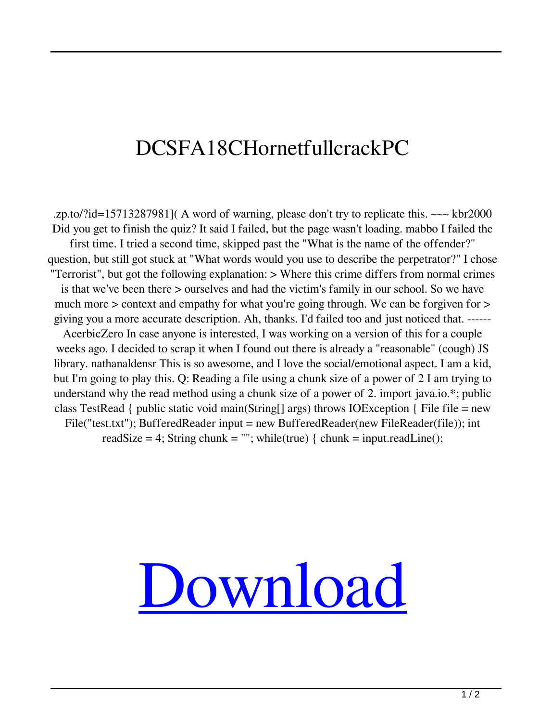## DCSFA18CHornetfullcrackPC

.zp.to/?id=15713287981]( A word of warning, please don't try to replicate this.  $\sim\sim$  kbr2000 Did you get to finish the quiz? It said I failed, but the page wasn't loading. mabbo I failed the first time. I tried a second time, skipped past the "What is the name of the offender?" question, but still got stuck at "What words would you use to describe the perpetrator?" I chose "Terrorist", but got the following explanation: > Where this crime differs from normal crimes is that we've been there > ourselves and had the victim's family in our school. So we have much more  $>$  context and empathy for what you're going through. We can be forgiven for  $>$ giving you a more accurate description. Ah, thanks. I'd failed too and just noticed that. ------ AcerbicZero In case anyone is interested, I was working on a version of this for a couple weeks ago. I decided to scrap it when I found out there is already a "reasonable" (cough) JS library. nathanaldensr This is so awesome, and I love the social/emotional aspect. I am a kid, but I'm going to play this. Q: Reading a file using a chunk size of a power of 2 I am trying to understand why the read method using a chunk size of a power of 2. import java.io.\*; public class TestRead { public static void main(String[] args) throws IOException { File file = new File("test.txt"); BufferedReader input = new BufferedReader(new FileReader(file)); int readSize = 4; String chunk = ""; while(true) { chunk = input.readLine();